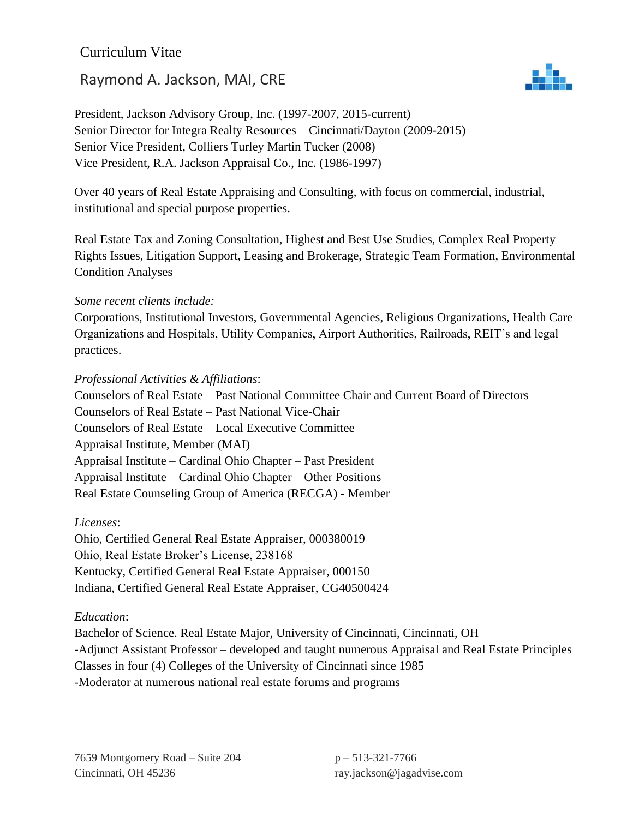## Curriculum Vitae

# Raymond A. Jackson, MAI, CRE



President, Jackson Advisory Group, Inc. (1997-2007, 2015-current) Senior Director for Integra Realty Resources – Cincinnati/Dayton (2009-2015) Senior Vice President, Colliers Turley Martin Tucker (2008) Vice President, R.A. Jackson Appraisal Co., Inc. (1986-1997)

Over 40 years of Real Estate Appraising and Consulting, with focus on commercial, industrial, institutional and special purpose properties.

Real Estate Tax and Zoning Consultation, Highest and Best Use Studies, Complex Real Property Rights Issues, Litigation Support, Leasing and Brokerage, Strategic Team Formation, Environmental Condition Analyses

#### *Some recent clients include:*

Corporations, Institutional Investors, Governmental Agencies, Religious Organizations, Health Care Organizations and Hospitals, Utility Companies, Airport Authorities, Railroads, REIT's and legal practices.

#### *Professional Activities & Affiliations*:

Counselors of Real Estate – Past National Committee Chair and Current Board of Directors Counselors of Real Estate – Past National Vice-Chair Counselors of Real Estate – Local Executive Committee Appraisal Institute, Member (MAI) Appraisal Institute – Cardinal Ohio Chapter – Past President Appraisal Institute – Cardinal Ohio Chapter – Other Positions Real Estate Counseling Group of America (RECGA) - Member

#### *Licenses*:

Ohio, Certified General Real Estate Appraiser, 000380019 Ohio, Real Estate Broker's License, 238168 Kentucky, Certified General Real Estate Appraiser, 000150 Indiana, Certified General Real Estate Appraiser, CG40500424

### *Education*:

Bachelor of Science. Real Estate Major, University of Cincinnati, Cincinnati, OH -Adjunct Assistant Professor – developed and taught numerous Appraisal and Real Estate Principles Classes in four (4) Colleges of the University of Cincinnati since 1985 -Moderator at numerous national real estate forums and programs